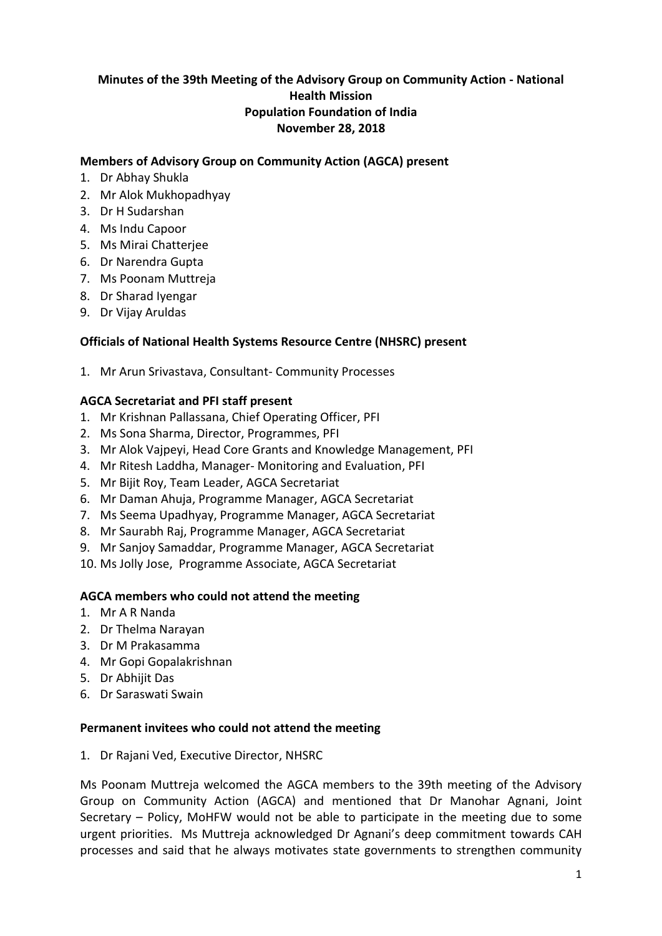## **Minutes of the 39th Meeting of the Advisory Group on Community Action - National Health Mission Population Foundation of India November 28, 2018**

#### **Members of Advisory Group on Community Action (AGCA) present**

- 1. Dr Abhay Shukla
- 2. Mr Alok Mukhopadhyay
- 3. Dr H Sudarshan
- 4. Ms Indu Capoor
- 5. Ms Mirai Chatterjee
- 6. Dr Narendra Gupta
- 7. Ms Poonam Muttreja
- 8. Dr Sharad Iyengar
- 9. Dr Vijay Aruldas

#### **Officials of National Health Systems Resource Centre (NHSRC) present**

1. Mr Arun Srivastava, Consultant- Community Processes

#### **AGCA Secretariat and PFI staff present**

- 1. Mr Krishnan Pallassana, Chief Operating Officer, PFI
- 2. Ms Sona Sharma, Director, Programmes, PFI
- 3. Mr Alok Vajpeyi, Head Core Grants and Knowledge Management, PFI
- 4. Mr Ritesh Laddha, Manager- Monitoring and Evaluation, PFI
- 5. Mr Bijit Roy, Team Leader, AGCA Secretariat
- 6. Mr Daman Ahuja, Programme Manager, AGCA Secretariat
- 7. Ms Seema Upadhyay, Programme Manager, AGCA Secretariat
- 8. Mr Saurabh Raj, Programme Manager, AGCA Secretariat
- 9. Mr Sanjoy Samaddar, Programme Manager, AGCA Secretariat
- 10. Ms Jolly Jose, Programme Associate, AGCA Secretariat

#### **AGCA members who could not attend the meeting**

- 1. Mr A R Nanda
- 2. Dr Thelma Narayan
- 3. Dr M Prakasamma
- 4. Mr Gopi Gopalakrishnan
- 5. Dr Abhijit Das
- 6. Dr Saraswati Swain

#### **Permanent invitees who could not attend the meeting**

1. Dr Rajani Ved, Executive Director, NHSRC

Ms Poonam Muttreja welcomed the AGCA members to the 39th meeting of the Advisory Group on Community Action (AGCA) and mentioned that Dr Manohar Agnani, Joint Secretary – Policy, MoHFW would not be able to participate in the meeting due to some urgent priorities. Ms Muttreja acknowledged Dr Agnani's deep commitment towards CAH processes and said that he always motivates state governments to strengthen community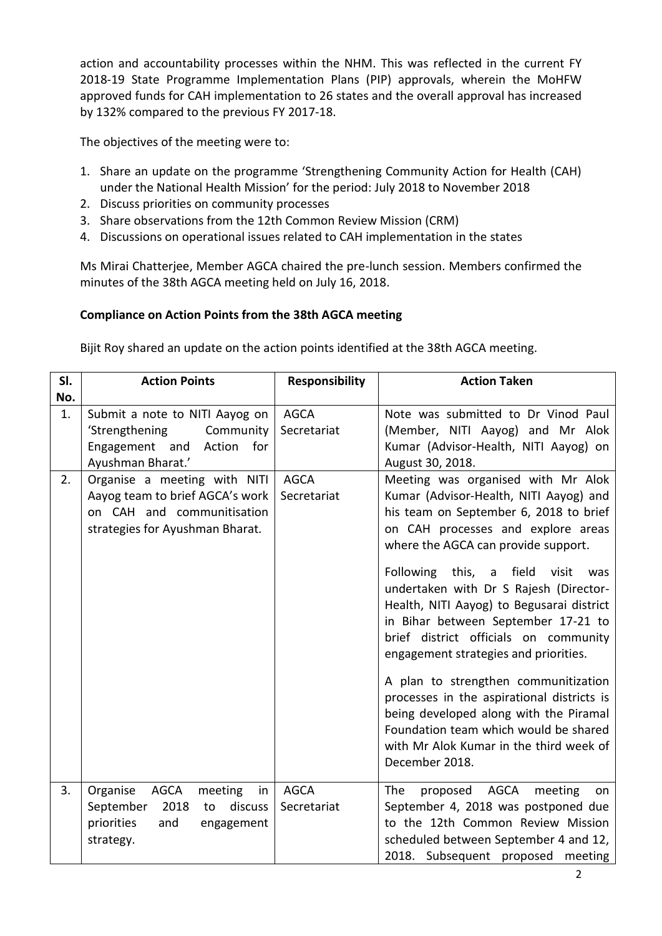action and accountability processes within the NHM. This was reflected in the current FY 2018-19 State Programme Implementation Plans (PIP) approvals, wherein the MoHFW approved funds for CAH implementation to 26 states and the overall approval has increased by 132% compared to the previous FY 2017-18.

The objectives of the meeting were to:

- 1. Share an update on the programme 'Strengthening Community Action for Health (CAH) under the National Health Mission' for the period: July 2018 to November 2018
- 2. Discuss priorities on community processes
- 3. Share observations from the 12th Common Review Mission (CRM)
- 4. Discussions on operational issues related to CAH implementation in the states

Ms Mirai Chatterjee, Member AGCA chaired the pre-lunch session. Members confirmed the minutes of the 38th AGCA meeting held on July 16, 2018.

## **Compliance on Action Points from the 38th AGCA meeting**

Bijit Roy shared an update on the action points identified at the 38th AGCA meeting.

| SI.      | <b>Action Points</b>                                                                                                                                  | <b>Responsibility</b>                     | <b>Action Taken</b>                                                                                                                                                                                                                                                                                                                                                                                                                                                                                                                                                                                                                                               |
|----------|-------------------------------------------------------------------------------------------------------------------------------------------------------|-------------------------------------------|-------------------------------------------------------------------------------------------------------------------------------------------------------------------------------------------------------------------------------------------------------------------------------------------------------------------------------------------------------------------------------------------------------------------------------------------------------------------------------------------------------------------------------------------------------------------------------------------------------------------------------------------------------------------|
| No.      |                                                                                                                                                       |                                           |                                                                                                                                                                                                                                                                                                                                                                                                                                                                                                                                                                                                                                                                   |
| 1.<br>2. | Submit a note to NITI Aayog on<br>'Strengthening<br>Community<br>Engagement and<br>Action<br>for<br>Ayushman Bharat.'<br>Organise a meeting with NITI | <b>AGCA</b><br>Secretariat<br><b>AGCA</b> | Note was submitted to Dr Vinod Paul<br>(Member, NITI Aayog) and Mr Alok<br>Kumar (Advisor-Health, NITI Aayog) on<br>August 30, 2018.<br>Meeting was organised with Mr Alok                                                                                                                                                                                                                                                                                                                                                                                                                                                                                        |
|          | Aayog team to brief AGCA's work<br>on CAH and communitisation<br>strategies for Ayushman Bharat.                                                      | Secretariat                               | Kumar (Advisor-Health, NITI Aayog) and<br>his team on September 6, 2018 to brief<br>on CAH processes and explore areas<br>where the AGCA can provide support.<br>Following this,<br>a field<br>visit<br>was<br>undertaken with Dr S Rajesh (Director-<br>Health, NITI Aayog) to Begusarai district<br>in Bihar between September 17-21 to<br>brief district officials on community<br>engagement strategies and priorities.<br>A plan to strengthen communitization<br>processes in the aspirational districts is<br>being developed along with the Piramal<br>Foundation team which would be shared<br>with Mr Alok Kumar in the third week of<br>December 2018. |
|          |                                                                                                                                                       |                                           |                                                                                                                                                                                                                                                                                                                                                                                                                                                                                                                                                                                                                                                                   |
| 3.       | Organise<br>AGCA<br>meeting<br>in<br>2018<br>September<br>to<br>discuss<br>priorities<br>and<br>engagement<br>strategy.                               | <b>AGCA</b><br>Secretariat                | AGCA<br>The<br>proposed<br>meeting<br>on<br>September 4, 2018 was postponed due<br>to the 12th Common Review Mission<br>scheduled between September 4 and 12,<br>2018. Subsequent proposed meeting                                                                                                                                                                                                                                                                                                                                                                                                                                                                |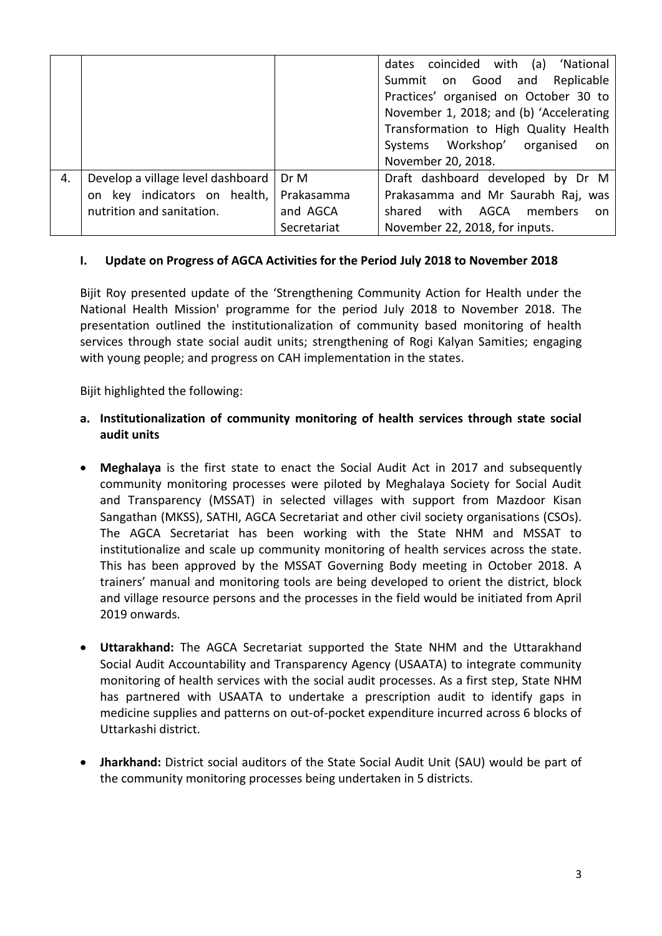|    |                                   |             | dates coincided with (a) 'National       |
|----|-----------------------------------|-------------|------------------------------------------|
|    |                                   |             | Summit on Good and Replicable            |
|    |                                   |             | Practices' organised on October 30 to    |
|    |                                   |             | November 1, 2018; and (b) 'Accelerating  |
|    |                                   |             | Transformation to High Quality Health    |
|    |                                   |             | Systems Workshop' organised<br>on        |
|    |                                   |             | November 20, 2018.                       |
| 4. | Develop a village level dashboard | Dr M        | Draft dashboard developed by Dr M        |
|    | on key indicators on health,      | Prakasamma  | Prakasamma and Mr Saurabh Raj, was       |
|    | nutrition and sanitation.         | and AGCA    | with<br>AGCA<br>members<br>shared<br>on. |
|    |                                   | Secretariat | November 22, 2018, for inputs.           |

## **I. Update on Progress of AGCA Activities for the Period July 2018 to November 2018**

Bijit Roy presented update of the 'Strengthening Community Action for Health under the National Health Mission' programme for the period July 2018 to November 2018. The presentation outlined the institutionalization of community based monitoring of health services through state social audit units; strengthening of Rogi Kalyan Samities; engaging with young people; and progress on CAH implementation in the states.

Bijit highlighted the following:

- **a. Institutionalization of community monitoring of health services through state social audit units**
- **Meghalaya** is the first state to enact the Social Audit Act in 2017 and subsequently community monitoring processes were piloted by Meghalaya Society for Social Audit and Transparency (MSSAT) in selected villages with support from Mazdoor Kisan Sangathan (MKSS), SATHI, AGCA Secretariat and other civil society organisations (CSOs). The AGCA Secretariat has been working with the State NHM and MSSAT to institutionalize and scale up community monitoring of health services across the state. This has been approved by the MSSAT Governing Body meeting in October 2018. A trainers' manual and monitoring tools are being developed to orient the district, block and village resource persons and the processes in the field would be initiated from April 2019 onwards.
- **Uttarakhand:** The AGCA Secretariat supported the State NHM and the Uttarakhand Social Audit Accountability and Transparency Agency (USAATA) to integrate community monitoring of health services with the social audit processes. As a first step, State NHM has partnered with USAATA to undertake a prescription audit to identify gaps in medicine supplies and patterns on out-of-pocket expenditure incurred across 6 blocks of Uttarkashi district.
- **Jharkhand:** District social auditors of the State Social Audit Unit (SAU) would be part of the community monitoring processes being undertaken in 5 districts.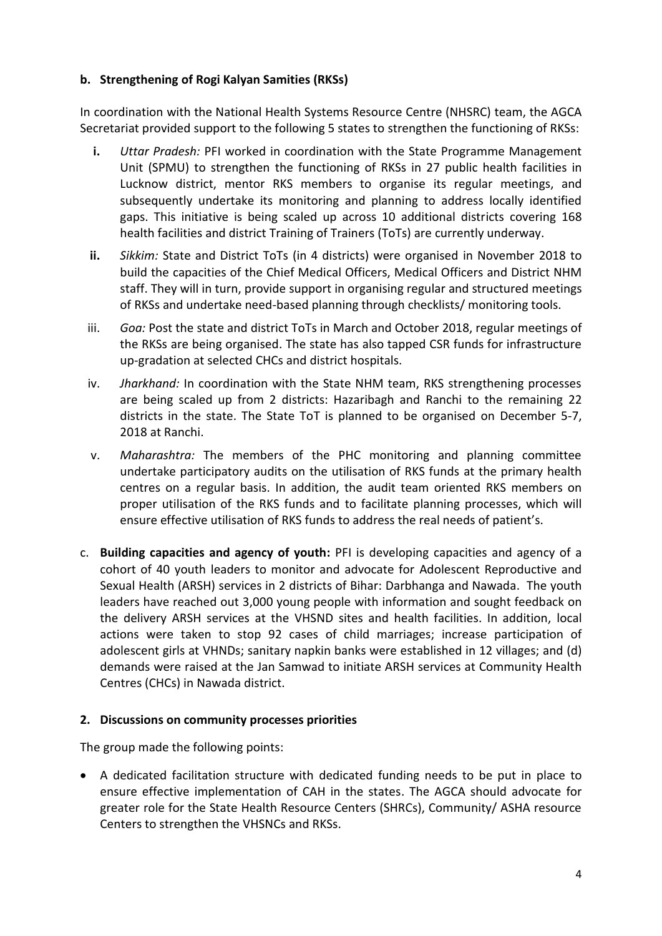## **b. Strengthening of Rogi Kalyan Samities (RKSs)**

In coordination with the National Health Systems Resource Centre (NHSRC) team, the AGCA Secretariat provided support to the following 5 states to strengthen the functioning of RKSs:

- **i.** *Uttar Pradesh:* PFI worked in coordination with the State Programme Management Unit (SPMU) to strengthen the functioning of RKSs in 27 public health facilities in Lucknow district, mentor RKS members to organise its regular meetings, and subsequently undertake its monitoring and planning to address locally identified gaps. This initiative is being scaled up across 10 additional districts covering 168 health facilities and district Training of Trainers (ToTs) are currently underway.
- **ii.** *Sikkim:* State and District ToTs (in 4 districts) were organised in November 2018 to build the capacities of the Chief Medical Officers, Medical Officers and District NHM staff. They will in turn, provide support in organising regular and structured meetings of RKSs and undertake need-based planning through checklists/ monitoring tools.
- iii. *Goa:* Post the state and district ToTs in March and October 2018, regular meetings of the RKSs are being organised. The state has also tapped CSR funds for infrastructure up-gradation at selected CHCs and district hospitals.
- iv. *Jharkhand:* In coordination with the State NHM team, RKS strengthening processes are being scaled up from 2 districts: Hazaribagh and Ranchi to the remaining 22 districts in the state. The State ToT is planned to be organised on December 5-7, 2018 at Ranchi.
- v. *Maharashtra:* The members of the PHC monitoring and planning committee undertake participatory audits on the utilisation of RKS funds at the primary health centres on a regular basis. In addition, the audit team oriented RKS members on proper utilisation of the RKS funds and to facilitate planning processes, which will ensure effective utilisation of RKS funds to address the real needs of patient's.
- c. **Building capacities and agency of youth:** PFI is developing capacities and agency of a cohort of 40 youth leaders to monitor and advocate for Adolescent Reproductive and Sexual Health (ARSH) services in 2 districts of Bihar: Darbhanga and Nawada. The youth leaders have reached out 3,000 young people with information and sought feedback on the delivery ARSH services at the VHSND sites and health facilities. In addition, local actions were taken to stop 92 cases of child marriages; increase participation of adolescent girls at VHNDs; sanitary napkin banks were established in 12 villages; and (d) demands were raised at the Jan Samwad to initiate ARSH services at Community Health Centres (CHCs) in Nawada district.

# **2. Discussions on community processes priorities**

The group made the following points:

 A dedicated facilitation structure with dedicated funding needs to be put in place to ensure effective implementation of CAH in the states. The AGCA should advocate for greater role for the State Health Resource Centers (SHRCs), Community/ ASHA resource Centers to strengthen the VHSNCs and RKSs.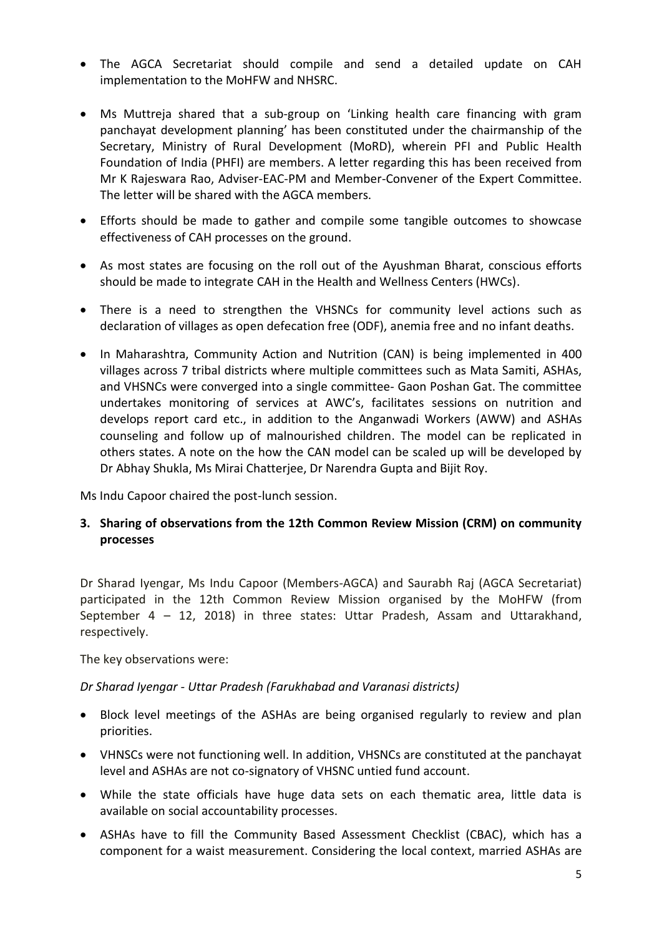- The AGCA Secretariat should compile and send a detailed update on CAH implementation to the MoHFW and NHSRC.
- Ms Muttreja shared that a sub-group on 'Linking health care financing with gram panchayat development planning' has been constituted under the chairmanship of the Secretary, Ministry of Rural Development (MoRD), wherein PFI and Public Health Foundation of India (PHFI) are members. A letter regarding this has been received from Mr K Rajeswara Rao, Adviser-EAC-PM and Member-Convener of the Expert Committee. The letter will be shared with the AGCA members.
- Efforts should be made to gather and compile some tangible outcomes to showcase effectiveness of CAH processes on the ground.
- As most states are focusing on the roll out of the Ayushman Bharat, conscious efforts should be made to integrate CAH in the Health and Wellness Centers (HWCs).
- There is a need to strengthen the VHSNCs for community level actions such as declaration of villages as open defecation free (ODF), anemia free and no infant deaths.
- In Maharashtra, Community Action and Nutrition (CAN) is being implemented in 400 villages across 7 tribal districts where multiple committees such as Mata Samiti, ASHAs, and VHSNCs were converged into a single committee- Gaon Poshan Gat. The committee undertakes monitoring of services at AWC's, facilitates sessions on nutrition and develops report card etc., in addition to the Anganwadi Workers (AWW) and ASHAs counseling and follow up of malnourished children. The model can be replicated in others states. A note on the how the CAN model can be scaled up will be developed by Dr Abhay Shukla, Ms Mirai Chatterjee, Dr Narendra Gupta and Bijit Roy.

Ms Indu Capoor chaired the post-lunch session.

**3. Sharing of observations from the 12th Common Review Mission (CRM) on community processes**

Dr Sharad Iyengar, Ms Indu Capoor (Members-AGCA) and Saurabh Raj (AGCA Secretariat) participated in the 12th Common Review Mission organised by the MoHFW (from September 4 – 12, 2018) in three states: Uttar Pradesh, Assam and Uttarakhand, respectively.

The key observations were:

## *Dr Sharad Iyengar - Uttar Pradesh (Farukhabad and Varanasi districts)*

- Block level meetings of the ASHAs are being organised regularly to review and plan priorities.
- VHNSCs were not functioning well. In addition, VHSNCs are constituted at the panchayat level and ASHAs are not co-signatory of VHSNC untied fund account.
- While the state officials have huge data sets on each thematic area, little data is available on social accountability processes.
- ASHAs have to fill the Community Based Assessment Checklist (CBAC), which has a component for a waist measurement. Considering the local context, married ASHAs are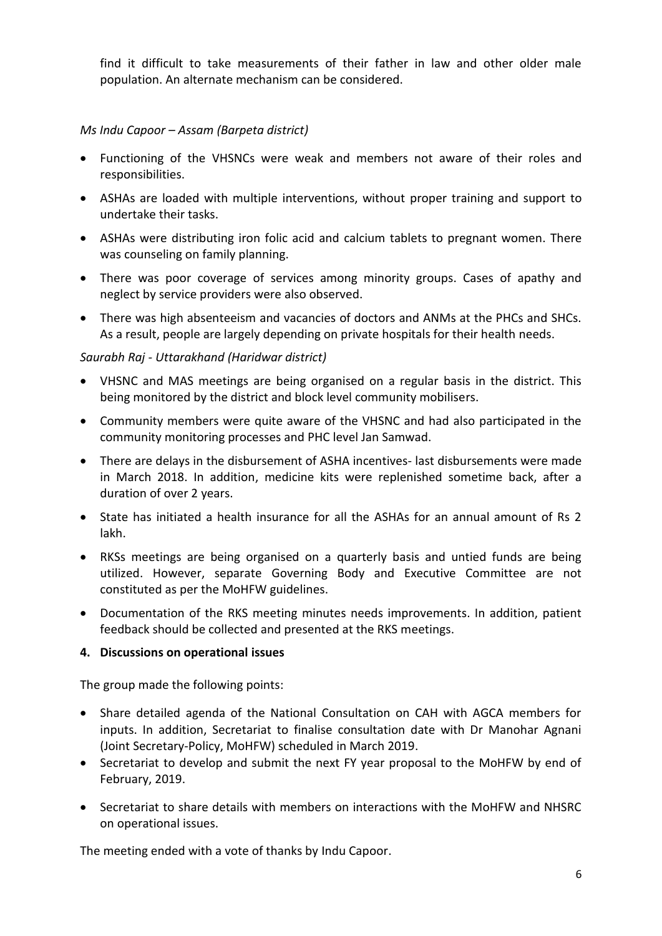find it difficult to take measurements of their father in law and other older male population. An alternate mechanism can be considered.

## *Ms Indu Capoor – Assam (Barpeta district)*

- Functioning of the VHSNCs were weak and members not aware of their roles and responsibilities.
- ASHAs are loaded with multiple interventions, without proper training and support to undertake their tasks.
- ASHAs were distributing iron folic acid and calcium tablets to pregnant women. There was counseling on family planning.
- There was poor coverage of services among minority groups. Cases of apathy and neglect by service providers were also observed.
- There was high absenteeism and vacancies of doctors and ANMs at the PHCs and SHCs. As a result, people are largely depending on private hospitals for their health needs.

#### *Saurabh Raj - Uttarakhand (Haridwar district)*

- VHSNC and MAS meetings are being organised on a regular basis in the district. This being monitored by the district and block level community mobilisers.
- Community members were quite aware of the VHSNC and had also participated in the community monitoring processes and PHC level Jan Samwad.
- There are delays in the disbursement of ASHA incentives- last disbursements were made in March 2018. In addition, medicine kits were replenished sometime back, after a duration of over 2 years.
- State has initiated a health insurance for all the ASHAs for an annual amount of Rs 2 lakh.
- RKSs meetings are being organised on a quarterly basis and untied funds are being utilized. However, separate Governing Body and Executive Committee are not constituted as per the MoHFW guidelines.
- Documentation of the RKS meeting minutes needs improvements. In addition, patient feedback should be collected and presented at the RKS meetings.

#### **4. Discussions on operational issues**

The group made the following points:

- Share detailed agenda of the National Consultation on CAH with AGCA members for inputs. In addition, Secretariat to finalise consultation date with Dr Manohar Agnani (Joint Secretary-Policy, MoHFW) scheduled in March 2019.
- Secretariat to develop and submit the next FY year proposal to the MoHFW by end of February, 2019.
- Secretariat to share details with members on interactions with the MoHFW and NHSRC on operational issues.

The meeting ended with a vote of thanks by Indu Capoor.